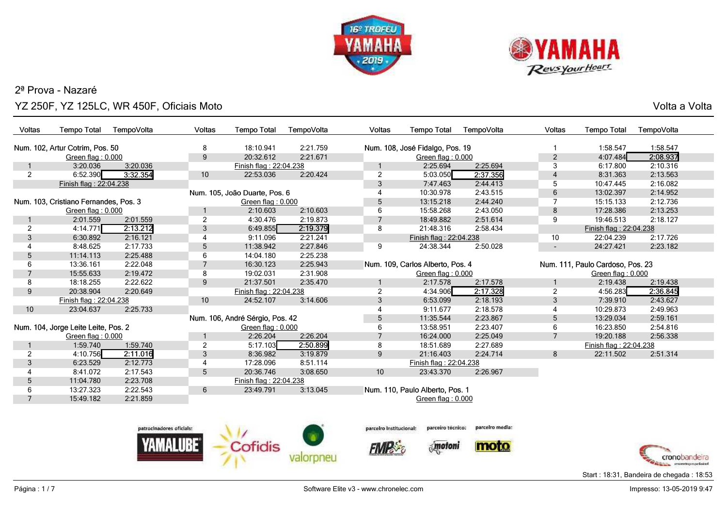



o ang pangangang sa kabupatèn sa kabupatèn Sulawesa Kabupatèn Sulawesa Kabupatèn Sulawesa Kabupatèn Sulawesa K<br>Kabupatèn Sulawesa Kabupatèn Sulawesa Kabupatèn Sulawesa Kabupatèn Sulawesa Kabupatèn Sulawesa Kabupatèn Sulaw

| Voltas         | <b>Tempo Total</b>                    | TempoVolta               | <b>Voltas</b>   | <b>Tempo Total</b>              | TempoVolta | <b>Voltas</b>           | <b>Tempo Total</b>               | TempoVolta      | <b>Voltas</b>            | <b>Tempo Total</b>               | TempoVolta    |
|----------------|---------------------------------------|--------------------------|-----------------|---------------------------------|------------|-------------------------|----------------------------------|-----------------|--------------------------|----------------------------------|---------------|
|                | Num. 102, Artur Cotrim, Pos. 50       |                          | 8               | 18:10.941                       | 2:21.759   |                         | Num. 108, José Fidalgo, Pos. 19  |                 |                          | 1:58.547                         | 1:58.547      |
|                | Green flag: 0.000                     |                          | 9               | 20:32.612                       | 2:21.671   |                         | Green flag: 0.000                |                 | $\overline{2}$           | 4:07.484                         | 2:08.937      |
|                | 3:20.036                              | 3:20.036                 |                 | Finish flag: 22:04.238          |            |                         | 2:25.694                         | 2:25.694        | 3                        | 6:17.800                         | 2:10.316      |
| $\overline{2}$ | 6:52.390                              | 3:32.354                 | $10$            | 22:53.036                       | 2:20.424   | $\overline{2}$          | 5:03.050                         | 2:37.356        | $\overline{4}$           | 8:31.363                         | 2:13.563      |
|                | Finish flag: 22:04.238                |                          |                 |                                 |            | $\mathfrak{S}$          | 7:47.463                         | 2:44.413        | 5                        | 10:47.445                        | 2:16.082      |
|                |                                       |                          |                 | Num. 105, João Duarte, Pos. 6   |            | 4                       | 10:30.978                        | 2:43.515        | 6                        | 13:02.397                        | 2:14.952      |
|                | Num. 103, Cristiano Fernandes, Pos. 3 |                          |                 | Green flag: 0.000               |            | 5                       | 13:15.218                        | 2:44.240        | 7                        | 15:15.133                        | 2:12.736      |
|                | Green flag: 0.000                     |                          |                 | 2:10.603                        | 2:10.603   | 6                       | 15:58.268                        | 2:43.050        | 8                        | 17:28.386                        | 2:13.253      |
|                | 2:01.559                              | 2:01.559                 | $\overline{2}$  | 4:30.476                        | 2:19.873   | $\overline{7}$          | 18:49.882                        | 2:51.614        | 9                        | 19:46.513                        | 2:18.127      |
| $\overline{2}$ | 4:14.771                              | 2:13.212                 | 3               | 6:49.855                        | 2:19.379   | 8                       | 21:48.316                        | 2:58.434        |                          | Finish flag: 22:04.238           |               |
| 3              | 6:30.892                              | 2:16.121                 | 4               | 9:11.096                        | 2:21.241   |                         | Finish flag: 22:04.238           |                 | 10                       | 22:04.239                        | 2:17.726      |
| 4              | 8:48.625                              | 2:17.733                 | 5               | 11:38.942                       | 2:27.846   | 9                       | 24:38.344                        | 2:50.028        | $\overline{\phantom{a}}$ | 24:27.421                        | 2:23.182      |
| 5              | 11:14.113                             | 2:25.488                 | 6               | 14:04.180                       | 2:25.238   |                         |                                  |                 |                          |                                  |               |
| 6              | 13:36.161                             | 2:22.048                 | $\overline{7}$  | 16:30.123                       | 2:25.943   |                         | Num. 109, Carlos Alberto, Pos. 4 |                 |                          | Num. 111, Paulo Cardoso, Pos. 23 |               |
| 7              | 15:55.633                             | 2:19.472                 | 8               | 19:02.031                       | 2:31.908   |                         | Green flag: 0.000                |                 |                          | Green flag: 0.000                |               |
| 8              | 18:18.255                             | 2:22.622                 | 9               | 21:37.501                       | 2:35.470   |                         | 2:17.578                         | 2:17.578        |                          | 2:19.438                         | 2:19.438      |
| 9              | 20:38.904                             | 2:20.649                 |                 | Finish flag: 22:04.238          |            | $\overline{2}$          | 4:34.906                         | 2:17.328        | $\overline{c}$           | 4:56.283                         | 2:36.845      |
|                | Finish flag: 22:04.238                |                          | 10              | 24:52.107                       | 3:14.606   | 3                       | 6:53.099                         | 2:18.193        | 3                        | 7:39.910                         | 2:43.627      |
| 10             | 23:04.637                             | 2:25.733                 |                 |                                 |            | 4                       | 9:11.677                         | 2:18.578        | $\overline{4}$           | 10:29.873                        | 2:49.963      |
|                |                                       |                          |                 | Num. 106, André Sérgio, Pos. 42 |            | $\sqrt{5}$              | 11:35.544                        | 2:23.867        | 5                        | 13:29.034                        | 2:59.161      |
|                | Num. 104, Jorge Leite Leite, Pos. 2   |                          |                 | Green flag: 0.000               |            | 6                       | 13:58.951                        | 2:23.407        | 6                        | 16:23.850                        | 2:54.816      |
|                | Green flag: 0.000                     |                          |                 | 2:26.204                        | 2:26.204   | $\overline{7}$          | 16:24.000                        | 2:25.049        | $\overline{7}$           | 19:20.188                        | 2:56.338      |
|                | 1:59.740                              | 1:59.740                 | 2               | 5:17.103                        | 2:50.899   | 8                       | 18:51.689                        | 2:27.689        |                          | Finish flag: 22:04.238           |               |
| $\overline{c}$ | 4:10.756                              | 2:11.016                 | $\mathbf{3}$    | 8:36.982                        | 3:19.879   | 9                       | 21:16.403                        | 2:24.714        | 8                        | 22:11.502                        | 2:51.314      |
| 3              | 6:23.529                              | 2:12.773                 | 4               | 17:28.096                       | 8:51.114   |                         | Finish flag: 22:04.238           |                 |                          |                                  |               |
| 4              | 8:41.072                              | 2:17.543                 | $5\phantom{.0}$ | 20:36.746                       | 3:08.650   | 10                      | 23:43.370                        | 2:26.967        |                          |                                  |               |
| 5              | 11:04.780                             | 2:23.708                 |                 | Finish flag: 22:04.238          |            |                         |                                  |                 |                          |                                  |               |
| 6              | 13:27.323                             | 2:22.543                 | 6               | 23:49.791                       | 3:13.045   |                         | Num. 110, Paulo Alberto, Pos. 1  |                 |                          |                                  |               |
| $\overline{7}$ | 15:49.182                             | 2:21.859                 |                 |                                 |            |                         | Green flag: 0.000                |                 |                          |                                  |               |
|                |                                       |                          |                 |                                 |            |                         |                                  |                 |                          |                                  |               |
|                |                                       | patrocinadores oficials: |                 |                                 |            | parceiro Institucional: | parceiro tecnico:                | parcelro media: |                          |                                  |               |
|                |                                       |                          |                 |                                 |            |                         |                                  |                 |                          |                                  |               |
|                |                                       |                          |                 | Cofidis                         |            |                         | motoni                           | moto            |                          |                                  |               |
|                |                                       |                          |                 |                                 |            |                         |                                  |                 |                          |                                  | cronobandeira |

cronobandeira Start : 18:31, Bandeira de chegada : 18:53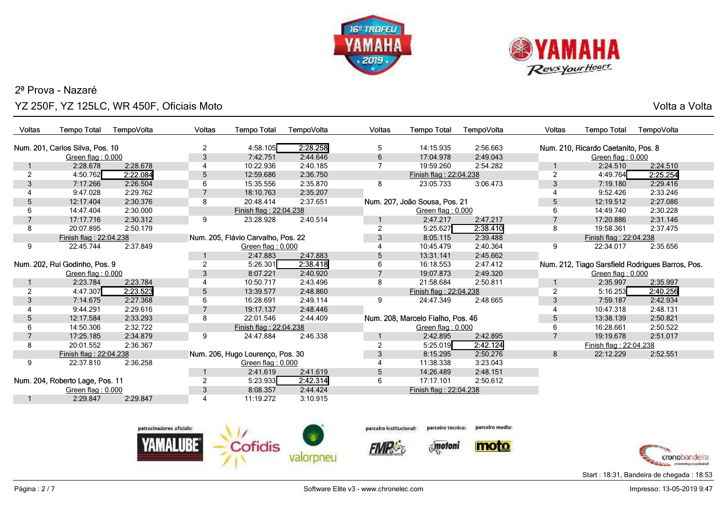



o ang pangangang sa kabupatèn sa kabupatèn Sulawesa Kabupatèn Sulawesa Kabupatèn Sulawesa Kabupatèn Sulawesa K<br>Kabupatèn Sulawesa Kabupatèn Sulawesa Kabupatèn Sulawesa Kabupatèn Sulawesa Kabupatèn Sulawesa Kabupatèn Sulaw

| <b>Voltas</b>  | <b>Tempo Total</b>              | TempoVolta | <b>Voltas</b>   | <b>Tempo Total</b>                 | TempoVolta | Voltas         | <b>Tempo Total</b>                | TempoVolta | Voltas         | <b>Tempo Total</b>                  | TempoVolta                                       |
|----------------|---------------------------------|------------|-----------------|------------------------------------|------------|----------------|-----------------------------------|------------|----------------|-------------------------------------|--------------------------------------------------|
|                | Num. 201, Carlos Silva, Pos. 10 |            | 2               | 4:58.105                           | 2:28.258   | 5              | 14:15.935                         | 2:56.663   |                | Num. 210, Ricardo Caetanito, Pos. 8 |                                                  |
|                | Green flag: 0.000               |            | 3               | 7:42.751                           | 2:44.646   | 6              | 17:04.978                         | 2:49.043   |                | Green flag: 0.000                   |                                                  |
|                | 2:28.678                        | 2:28.678   | $\overline{4}$  | 10:22.936                          | 2:40.185   |                | 19:59.260                         | 2:54.282   |                | 2:24.510                            | 2:24.510                                         |
| $\overline{c}$ | 4:50.762                        | 2:22.084   | 5               | 12:59.686                          | 2:36.750   |                | Finish flag: 22:04.238            |            | $\overline{2}$ | 4:49.764                            | 2:25.254                                         |
| 3              | 7:17.266                        | 2:26.504   | 6               | 15:35.556                          | 2:35.870   | 8              | 23:05.733                         | 3:06.473   | 3              | 7:19.180                            | 2:29.416                                         |
|                | 9:47.028                        | 2:29.762   |                 | 18:10.763                          | 2:35.207   |                |                                   |            |                | 9:52.426                            | 2:33.246                                         |
| 5              | 12:17.404                       | 2:30.376   | 8               | 20:48.414                          | 2:37.651   |                | Num. 207, João Sousa, Pos. 21     |            | 5              | 12:19.512                           | 2:27.086                                         |
| 6              | 14:47.404                       | 2:30.000   |                 | Finish flag: 22:04.238             |            |                | Green flag: 0.000                 |            | 6              | 14:49.740                           | 2:30.228                                         |
|                | 17:17.716                       | 2:30.312   | 9               | 23:28.928                          | 2:40.514   |                | 2:47.217                          | 2:47.217   |                | 17:20.886                           | 2:31.146                                         |
| 8              | 20:07.895                       | 2:50.179   |                 |                                    |            | $\overline{2}$ | 5:25.627                          | 2:38.410   | 8              | 19:58.361                           | 2:37.475                                         |
|                | Finish flag: 22:04.238          |            |                 | Num. 205, Flávio Carvalho, Pos. 22 |            | 3              | 8:05.115                          | 2:39.488   |                | Finish flag: 22:04.238              |                                                  |
| 9              | 22:45.744                       | 2:37.849   |                 | Green flag: 0.000                  |            |                | 10:45.479                         | 2:40.364   | 9              | 22:34.017                           | 2:35.656                                         |
|                |                                 |            |                 | 2:47.883                           | 2:47.883   | 5              | 13:31.141                         | 2:45.662   |                |                                     |                                                  |
|                | Num. 202, Rui Godinho, Pos. 9   |            | 2               | 5:26.301                           | 2:38.418   | 6              | 16:18.553                         | 2:47.412   |                |                                     | Num. 212, Tiago Sarsfield Rodrigues Barros, Pos. |
|                | Green flag: 0.000               |            | 3               | 8:07.221                           | 2:40.920   | $\overline{7}$ | 19:07.873                         | 2:49.320   |                | Green flag: 0.000                   |                                                  |
|                | 2:23.784                        | 2:23.784   | 4               | 10:50.717                          | 2:43.496   | 8              | 21:58.684                         | 2:50.811   |                | 2:35.997                            | 2:35.997                                         |
| 2              | 4:47.307                        | 2:23.523   | $5\phantom{.0}$ | 13:39.577                          | 2:48.860   |                | Finish flag: 22:04.238            |            | $\overline{c}$ | 5:16.253                            | 2:40.256                                         |
| 3              | 7:14.675                        | 2:27.368   | 6               | 16:28.691                          | 2:49.114   | 9              | 24:47.349                         | 2:48.665   | 3              | 7:59.187                            | 2:42.934                                         |
|                | 9:44.291                        | 2:29.616   | $\overline{7}$  | 19:17.137                          | 2:48.446   |                |                                   |            |                | 10:47.318                           | 2:48.131                                         |
| 5              | 12:17.584                       | 2:33.293   | 8               | 22:01.546                          | 2:44.409   |                | Num. 208, Marcelo Fialho, Pos. 46 |            | 5              | 13:38.139                           | 2:50.821                                         |
| 6              | 14:50.306                       | 2:32.722   |                 | Finish flag: 22:04.238             |            |                | Green flag: 0.000                 |            | 6              | 16:28.661                           | 2:50.522                                         |
|                | 17:25.185                       | 2:34.879   | 9               | 24:47.884                          | 2:46.338   |                | 2:42.895                          | 2:42.895   | $\overline{7}$ | 19:19.678                           | 2:51.017                                         |
| 8              | 20:01.552                       | 2:36.367   |                 |                                    |            | 2              | 5:25.019                          | 2:42.124   |                | Finish flag: 22:04.238              |                                                  |
|                | Finish flag: 22:04.238          |            |                 | Num. 206, Hugo Lourenço, Pos. 30   |            | 3              | 8:15.295                          | 2:50.276   | 8              | 22:12.229                           | 2:52.551                                         |
| 9              | 22:37.810                       | 2:36.258   |                 | Green flag: 0.000                  |            |                | 11:38.338                         | 3:23.043   |                |                                     |                                                  |
|                |                                 |            |                 | 2:41.619                           | 2:41.619   | 5              | 14:26.489                         | 2:48.151   |                |                                     |                                                  |
|                | Num. 204, Roberto Lage, Pos. 11 |            | $\overline{2}$  | 5:23.933                           | 2:42.314   | 6              | 17:17.101                         | 2:50.612   |                |                                     |                                                  |
|                | Green flag: 0.000               |            | $\mathbf{3}$    | 8:08.357                           | 2:44.424   |                | Finish flag: 22:04.238            |            |                |                                     |                                                  |
|                | 2:29.847                        | 2:29.847   | $\overline{4}$  | 11:19.272                          | 3:10.915   |                |                                   |            |                |                                     |                                                  |





**FIMP** 



parcelro media:





Start : 18:31, Bandeira de chegada : 18:53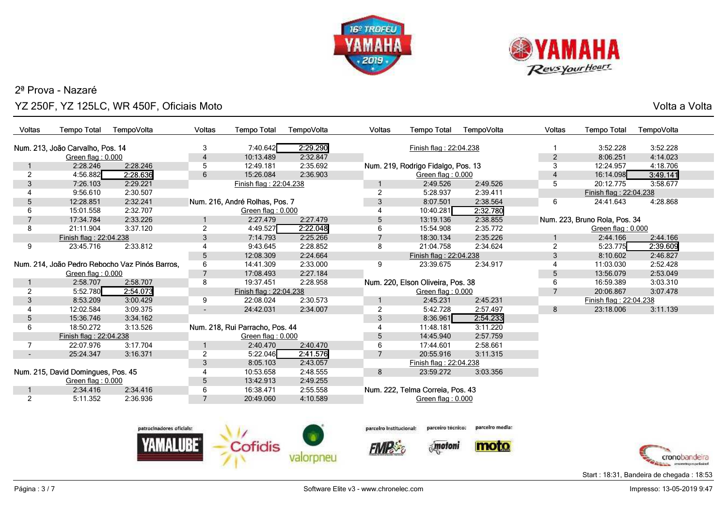



o ang pangangang sa kabupatèn sa kabupatèn Sulawesa Kabupatèn Sulawesa Kabupatèn Sulawesa Kabupatèn Sulawesa K<br>Kabupatèn Sulawesa Kabupatèn Sulawesa Kabupatèn Sulawesa Kabupatèn Sulawesa Kabupatèn Sulawesa Kabupatèn Sulaw

| Voltas         | <b>Tempo Total</b>                 | TempoVolta                                     | Voltas                   | <b>Tempo Total</b>              | TempoVolta | <b>Voltas</b>  | <b>Tempo Total</b>                 | TempoVolta | <b>Voltas</b>  | <b>Tempo Total</b>            | TempoVolta |
|----------------|------------------------------------|------------------------------------------------|--------------------------|---------------------------------|------------|----------------|------------------------------------|------------|----------------|-------------------------------|------------|
|                | Num. 213, João Carvalho, Pos. 14   |                                                | 3                        | 7:40.642                        | 2:29.290   |                | Finish flag: 22:04.238             |            |                | 3:52.228                      | 3:52.228   |
|                | Green flag: 0.000                  |                                                | 4                        | 10:13.489                       | 2:32.847   |                |                                    |            | $\overline{2}$ | 8:06.251                      | 4:14.023   |
|                | 2:28.246                           | 2:28.246                                       | 5                        | 12:49.181                       | 2:35.692   |                | Num. 219, Rodrigo Fidalgo, Pos. 13 |            | 3              | 12:24.957                     | 4:18.706   |
| $\overline{2}$ | 4:56.882                           | 2:28.636                                       | 6                        | 15:26.084                       | 2:36.903   |                | Green flag: 0.000                  |            |                | 16:14.098                     | 3:49.141   |
| 3              | 7:26.103                           | 2:29.221                                       |                          | Finish flag: 22:04.238          |            |                | 2:49.526                           | 2:49.526   | 5              | 20:12.775                     | 3:58.677   |
|                | 9:56.610                           | 2:30.507                                       |                          |                                 |            | $\overline{2}$ | 5:28.937                           | 2:39.411   |                | Finish flag: 22:04.238        |            |
| 5              | 12:28.851                          | 2:32.241                                       |                          | Num. 216, André Rolhas, Pos. 7  |            | 3              | 8:07.501                           | 2:38.564   | 6              | 24:41.643                     | 4:28.868   |
| 6              | 15:01.558                          | 2:32.707                                       |                          | Green flag: 0.000               |            |                | 10:40.281                          | 2:32.780   |                |                               |            |
|                | 17:34.784                          | 2:33.226                                       |                          | 2:27.479                        | 2:27.479   | 5              | 13:19.136                          | 2:38.855   |                | Num. 223, Bruno Rola, Pos. 34 |            |
| 8              | 21:11.904                          | 3:37.120                                       | $\overline{2}$           | 4:49.527                        | 2:22.048   | 6              | 15:54.908                          | 2:35.772   |                | Green flag: 0.000             |            |
|                | Finish flag: 22:04.238             |                                                | 3                        | 7:14.793                        | 2:25.266   | $\overline{7}$ | 18:30.134                          | 2:35.226   |                | 2:44.166                      | 2:44.166   |
| 9              | 23:45.716                          | 2:33.812                                       |                          | 9:43.645                        | 2:28.852   | 8              | 21:04.758                          | 2:34.624   | $\overline{2}$ | 5:23.775                      | 2:39.609   |
|                |                                    |                                                | 5                        | 12:08.309                       | 2:24.664   |                | Finish flag: 22:04.238             |            | 3              | 8:10.602                      | 2:46.827   |
|                |                                    | Num. 214, João Pedro Rebocho Vaz Pinós Barros, | 6                        | 14:41.309                       | 2:33.000   | 9              | 23:39.675                          | 2:34.917   |                | 11:03.030                     | 2:52.428   |
|                | Green flag: 0.000                  |                                                | $\overline{7}$           | 17:08.493                       | 2:27.184   |                |                                    |            | 5              | 13:56.079                     | 2:53.049   |
|                | 2:58.707                           | 2:58.707                                       | 8                        | 19:37.451                       | 2:28.958   |                | Num. 220, Elson Oliveira, Pos. 38  |            | 6              | 16:59.389                     | 3:03.310   |
| $\overline{2}$ | 5:52.780                           | 2:54.073                                       |                          | Finish flag: 22:04.238          |            |                | Green flag: 0.000                  |            |                | 20:06.867                     | 3:07.478   |
| 3              | 8:53.209                           | 3:00.429                                       | 9                        | 22:08.024                       | 2:30.573   |                | 2:45.231                           | 2:45.231   |                | Finish flag: 22:04.238        |            |
|                | 12:02.584                          | 3:09.375                                       | $\overline{\phantom{a}}$ | 24:42.031                       | 2:34.007   | $\overline{2}$ | 5:42.728                           | 2:57.497   | 8              | 23:18.006                     | 3:11.139   |
| 5              | 15:36.746                          | 3:34.162                                       |                          |                                 |            | 3              | 8:36.961                           | 2:54.233   |                |                               |            |
| 6              | 18:50.272                          | 3:13.526                                       |                          | Num. 218, Rui Parracho, Pos. 44 |            |                | 11:48.181                          | 3:11.220   |                |                               |            |
|                | Finish flag: 22:04.238             |                                                |                          | Green flag: 0.000               |            | 5              | 14:45.940                          | 2:57.759   |                |                               |            |
| $\overline{7}$ | 22:07.976                          | 3:17.704                                       |                          | 2:40.470                        | 2:40.470   | 6              | 17:44.601                          | 2:58.661   |                |                               |            |
| $\blacksquare$ | 25:24.347                          | 3:16.371                                       | 2                        | 5:22.046                        | 2:41.576   | $\overline{7}$ | 20:55.916                          | 3:11.315   |                |                               |            |
|                |                                    |                                                | 3                        | 8:05.103                        | 2:43.057   |                | Finish flag: 22:04.238             |            |                |                               |            |
|                | Num. 215, David Domingues, Pos. 45 |                                                | 4                        | 10:53.658                       | 2:48.555   | 8              | 23:59.272                          | 3:03.356   |                |                               |            |
|                | Green flag: 0.000                  |                                                | 5                        | 13:42.913                       | 2:49.255   |                |                                    |            |                |                               |            |
|                | 2:34.416                           | 2:34.416                                       | 6                        | 16:38.471                       | 2:55.558   |                | Num. 222, Telma Correia, Pos. 43   |            |                |                               |            |
| $\overline{2}$ | 5:11.352                           | 2:36.936                                       | $\overline{7}$           | 20:49.060                       | 4:10.589   |                | Green flag: 0.000                  |            |                |                               |            |
|                |                                    |                                                |                          |                                 |            |                |                                    |            |                |                               |            |
|                |                                    |                                                |                          |                                 |            |                |                                    |            |                |                               |            |





**FIMP** 



 $\delta_{\rm s}$  motoni

moto



Start : 18:31, Bandeira de chegada : 18:53

cronobandeira of the manner of the property of the field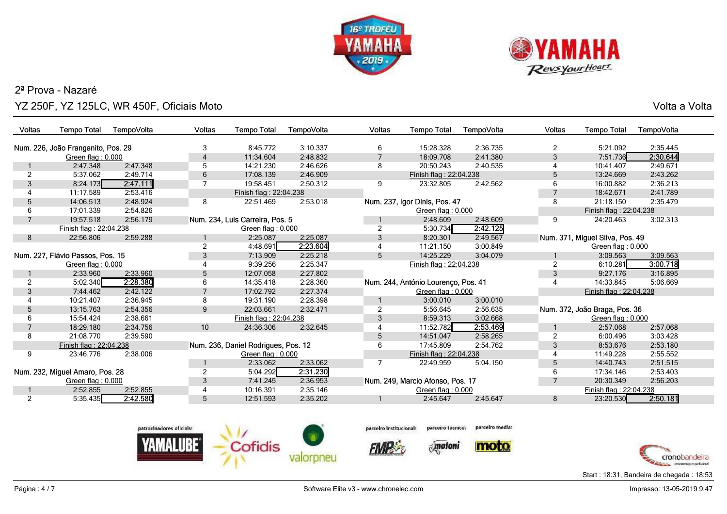



o ang pangangang sa kabupatèn sa kabupatèn Sulawesa Kabupatèn Sulawesa Kabupatèn Sulawesa Kabupatèn Sulawesa K<br>Kabupatèn Sulawesa Kabupatèn Sulawesa Kabupatèn Sulawesa Kabupatèn Sulawesa Kabupatèn Sulawesa Kabupatèn Sulaw

| Num. 226, João Franganito, Pos. 29<br>15:28.328<br>2:36.735<br>5:21.092<br>2:35.445<br>3<br>8:45.772<br>3:10.337<br>2<br>6<br>7:51.736<br>2:30.644<br>18:09.708<br>3<br>Green flag: 0.000<br>11:34.604<br>2:48.832<br>2:41.380<br>4<br>2:49.671<br>2:47.348<br>5<br>20:50.243<br>10:41.407<br>2:47.348<br>14:21.230<br>2:46.626<br>8<br>2:40.535<br>4<br>5:37.062<br>2:49.714<br>6<br>2:46.909<br>Finish flag: 22:04.238<br>5<br>13:24.669<br>2:43.262<br>2<br>17:08.139<br>8:24.173<br>2:42.562<br>3<br>2:47.111<br>2:50.312<br>23:32.805<br>6<br>16:00.882<br>2:36.213<br>19:58.451<br>9<br>2:41.789<br>11:17.589<br>2:53.416<br>18:42.671<br>Finish flag: 22:04.238<br>2:48.924<br>8<br>Num. 237, Igor Dinis, Pos. 47<br>8<br>2:35.479<br>14:06.513<br>22:51.469<br>2:53.018<br>21:18.150<br>5<br>17:01.339<br>2:54.826<br>Finish flag: 22:04.238<br>Green flag: 0.000<br>Num. 234, Luis Carreira, Pos. 5<br>9<br>3:02.313<br>2:56.179<br>2:48.609<br>19:57.518<br>2:48.609<br>24:20.463<br>5:30.734<br>2:42.125<br>Finish flag: 22:04.238<br>Green flag: 0.000<br>2:25.087<br>2:49.567<br>Num. 371, Miguel Silva, Pos. 49<br>22:56.806<br>2:59.288<br>2:25.087<br>3<br>8:20.301<br>8<br>2:23.604<br>4:48.691<br>11:21.150<br>3:00.849<br>Green flag: 0.000<br>Num. 227, Flávio Passos, Pos. 15<br>7:13.909<br>14:25.229<br>3:04.079<br>3:09.563<br>3<br>2:25.218<br>5<br>3:09.563<br>9:39.256<br>2:25.347<br>Green flag: $0.000$ | TempoVolta<br>Voltas<br><b>Tempo Total</b><br>TempoVolta | Voltas<br><b>Tempo Total</b><br>TempoVolta |
|--------------------------------------------------------------------------------------------------------------------------------------------------------------------------------------------------------------------------------------------------------------------------------------------------------------------------------------------------------------------------------------------------------------------------------------------------------------------------------------------------------------------------------------------------------------------------------------------------------------------------------------------------------------------------------------------------------------------------------------------------------------------------------------------------------------------------------------------------------------------------------------------------------------------------------------------------------------------------------------------------------------------------------------------------------------------------------------------------------------------------------------------------------------------------------------------------------------------------------------------------------------------------------------------------------------------------------------------------------------------------------------------------------------------------------------|----------------------------------------------------------|--------------------------------------------|
|                                                                                                                                                                                                                                                                                                                                                                                                                                                                                                                                                                                                                                                                                                                                                                                                                                                                                                                                                                                                                                                                                                                                                                                                                                                                                                                                                                                                                                      |                                                          |                                            |
|                                                                                                                                                                                                                                                                                                                                                                                                                                                                                                                                                                                                                                                                                                                                                                                                                                                                                                                                                                                                                                                                                                                                                                                                                                                                                                                                                                                                                                      |                                                          |                                            |
|                                                                                                                                                                                                                                                                                                                                                                                                                                                                                                                                                                                                                                                                                                                                                                                                                                                                                                                                                                                                                                                                                                                                                                                                                                                                                                                                                                                                                                      |                                                          |                                            |
|                                                                                                                                                                                                                                                                                                                                                                                                                                                                                                                                                                                                                                                                                                                                                                                                                                                                                                                                                                                                                                                                                                                                                                                                                                                                                                                                                                                                                                      |                                                          |                                            |
|                                                                                                                                                                                                                                                                                                                                                                                                                                                                                                                                                                                                                                                                                                                                                                                                                                                                                                                                                                                                                                                                                                                                                                                                                                                                                                                                                                                                                                      |                                                          |                                            |
|                                                                                                                                                                                                                                                                                                                                                                                                                                                                                                                                                                                                                                                                                                                                                                                                                                                                                                                                                                                                                                                                                                                                                                                                                                                                                                                                                                                                                                      |                                                          |                                            |
|                                                                                                                                                                                                                                                                                                                                                                                                                                                                                                                                                                                                                                                                                                                                                                                                                                                                                                                                                                                                                                                                                                                                                                                                                                                                                                                                                                                                                                      |                                                          |                                            |
|                                                                                                                                                                                                                                                                                                                                                                                                                                                                                                                                                                                                                                                                                                                                                                                                                                                                                                                                                                                                                                                                                                                                                                                                                                                                                                                                                                                                                                      |                                                          |                                            |
|                                                                                                                                                                                                                                                                                                                                                                                                                                                                                                                                                                                                                                                                                                                                                                                                                                                                                                                                                                                                                                                                                                                                                                                                                                                                                                                                                                                                                                      |                                                          |                                            |
|                                                                                                                                                                                                                                                                                                                                                                                                                                                                                                                                                                                                                                                                                                                                                                                                                                                                                                                                                                                                                                                                                                                                                                                                                                                                                                                                                                                                                                      |                                                          |                                            |
|                                                                                                                                                                                                                                                                                                                                                                                                                                                                                                                                                                                                                                                                                                                                                                                                                                                                                                                                                                                                                                                                                                                                                                                                                                                                                                                                                                                                                                      |                                                          |                                            |
|                                                                                                                                                                                                                                                                                                                                                                                                                                                                                                                                                                                                                                                                                                                                                                                                                                                                                                                                                                                                                                                                                                                                                                                                                                                                                                                                                                                                                                      |                                                          |                                            |
|                                                                                                                                                                                                                                                                                                                                                                                                                                                                                                                                                                                                                                                                                                                                                                                                                                                                                                                                                                                                                                                                                                                                                                                                                                                                                                                                                                                                                                      |                                                          |                                            |
|                                                                                                                                                                                                                                                                                                                                                                                                                                                                                                                                                                                                                                                                                                                                                                                                                                                                                                                                                                                                                                                                                                                                                                                                                                                                                                                                                                                                                                      |                                                          |                                            |
|                                                                                                                                                                                                                                                                                                                                                                                                                                                                                                                                                                                                                                                                                                                                                                                                                                                                                                                                                                                                                                                                                                                                                                                                                                                                                                                                                                                                                                      | Finish flag: 22:04.238<br>2                              | 6:10.281<br>3:00.718                       |
| 2:33.960<br>9:27.176<br>3:16.895<br>2:33.960<br>12:07.058<br>2:27.802<br>3<br>5                                                                                                                                                                                                                                                                                                                                                                                                                                                                                                                                                                                                                                                                                                                                                                                                                                                                                                                                                                                                                                                                                                                                                                                                                                                                                                                                                      |                                                          |                                            |
| 5:02.340<br>2:28.380<br>Num. 244, António Lourenco, Pos. 41<br>14:35.418<br>2:28.360<br>14:33.845<br>5:06.669<br>6<br>$\overline{4}$                                                                                                                                                                                                                                                                                                                                                                                                                                                                                                                                                                                                                                                                                                                                                                                                                                                                                                                                                                                                                                                                                                                                                                                                                                                                                                 |                                                          |                                            |
| 7:44.462<br>2:42.122<br>2:27.374<br>3<br>17:02.792<br>Green flag: 0.000<br>Finish flag: 22:04.238                                                                                                                                                                                                                                                                                                                                                                                                                                                                                                                                                                                                                                                                                                                                                                                                                                                                                                                                                                                                                                                                                                                                                                                                                                                                                                                                    |                                                          |                                            |
| 10:21.407<br>2:36.945<br>8<br>2:28.398<br>3:00.010<br>3:00.010<br>19:31.190                                                                                                                                                                                                                                                                                                                                                                                                                                                                                                                                                                                                                                                                                                                                                                                                                                                                                                                                                                                                                                                                                                                                                                                                                                                                                                                                                          |                                                          |                                            |
| Num. 372, João Braga, Pos. 36<br>2:54.356<br>9<br>22:03.661<br>2:32.471<br>2<br>2:56.635<br>13:15.763<br>5:56.645                                                                                                                                                                                                                                                                                                                                                                                                                                                                                                                                                                                                                                                                                                                                                                                                                                                                                                                                                                                                                                                                                                                                                                                                                                                                                                                    |                                                          |                                            |
| 2:38.661<br>3<br>3:02.668<br>15:54.424<br>Finish flag: 22:04.238<br>8:59.313<br>Green flag: 0.000                                                                                                                                                                                                                                                                                                                                                                                                                                                                                                                                                                                                                                                                                                                                                                                                                                                                                                                                                                                                                                                                                                                                                                                                                                                                                                                                    |                                                          |                                            |
| 11:52.782<br>2:53.469<br>2:34.756<br>10 <sup>°</sup><br>18:29.180<br>24:36.306<br>2:32.645<br>2:57.068<br>2:57.068                                                                                                                                                                                                                                                                                                                                                                                                                                                                                                                                                                                                                                                                                                                                                                                                                                                                                                                                                                                                                                                                                                                                                                                                                                                                                                                   |                                                          |                                            |
| 21:08.770<br>2:39.590<br>14:51.047<br>2:58.265<br>$\overline{2}$<br>6:00.496<br>3:03.428<br>8<br>5                                                                                                                                                                                                                                                                                                                                                                                                                                                                                                                                                                                                                                                                                                                                                                                                                                                                                                                                                                                                                                                                                                                                                                                                                                                                                                                                   |                                                          |                                            |
| 8:53.676<br>Num. 236, Daniel Rodrigues, Pos. 12<br>17:45.809<br>2:54.762<br>3<br>2:53.180<br>Finish flag: 22:04.238<br>6                                                                                                                                                                                                                                                                                                                                                                                                                                                                                                                                                                                                                                                                                                                                                                                                                                                                                                                                                                                                                                                                                                                                                                                                                                                                                                             |                                                          |                                            |
| 9<br>2:38.006<br>$\overline{4}$<br>11:49.228<br>2:55.552<br>23:46.776<br>Green flag: 0.000<br>Finish flag: 22:04.238                                                                                                                                                                                                                                                                                                                                                                                                                                                                                                                                                                                                                                                                                                                                                                                                                                                                                                                                                                                                                                                                                                                                                                                                                                                                                                                 |                                                          |                                            |
| 2:33.062<br>5:04.150<br>5<br>2:51.515<br>2:33.062<br>22:49.959<br>14:40.743                                                                                                                                                                                                                                                                                                                                                                                                                                                                                                                                                                                                                                                                                                                                                                                                                                                                                                                                                                                                                                                                                                                                                                                                                                                                                                                                                          |                                                          |                                            |
| 5:04.292<br>2:31.230<br>2:53.403<br>Num. 232, Miguel Amaro, Pos. 28<br>2<br>6<br>17:34.146                                                                                                                                                                                                                                                                                                                                                                                                                                                                                                                                                                                                                                                                                                                                                                                                                                                                                                                                                                                                                                                                                                                                                                                                                                                                                                                                           |                                                          |                                            |
| Num. 249, Marcio Afonso, Pos. 17<br>20:30.349<br>2:56.203<br>Green flag: 0.000<br>7:41.245<br>2:36.953<br>3                                                                                                                                                                                                                                                                                                                                                                                                                                                                                                                                                                                                                                                                                                                                                                                                                                                                                                                                                                                                                                                                                                                                                                                                                                                                                                                          |                                                          |                                            |
| 2:52.855<br>10:16.391<br>2:35.146<br>2:52.855<br>Finish flag: 22:04.238<br>Green flag: 0.000                                                                                                                                                                                                                                                                                                                                                                                                                                                                                                                                                                                                                                                                                                                                                                                                                                                                                                                                                                                                                                                                                                                                                                                                                                                                                                                                         |                                                          |                                            |
| 2:50.181<br>5:35.435<br>2:42.580<br>23:20.530<br>2<br>5<br>12:51.593<br>2:35.202<br>2:45.647<br>2:45.647<br>8                                                                                                                                                                                                                                                                                                                                                                                                                                                                                                                                                                                                                                                                                                                                                                                                                                                                                                                                                                                                                                                                                                                                                                                                                                                                                                                        |                                                          |                                            |



parceiro técnico: parceiro Institucional:

**FMP** 



parcelro media:





Start : 18:31, Bandeira de chegada : 18:53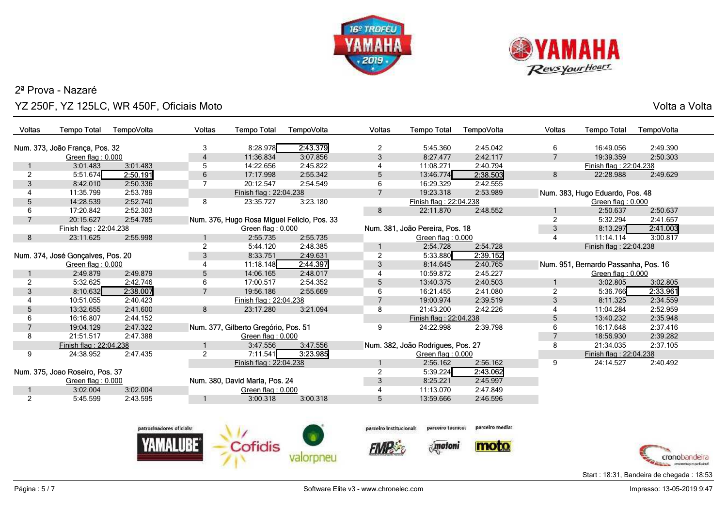



o ang pangangang sa kabupatèn sa kabupatèn Sulawesa Kabupatèn Sulawesa Kabupatèn Sulawesa Kabupatèn Sulawesa K<br>Kabupatèn Sulawesa Kabupatèn Sulawesa Kabupatèn Sulawesa Kabupatèn Sulawesa Kabupatèn Sulawesa Kabupatèn Sulaw

| Voltas                 | <b>Tempo Total</b>                | TempoVolta | Voltas         | <b>Tempo Total</b>                   | TempoVolta                                  | Voltas         | <b>Tempo Total</b>                | TempoVolta | Voltas         | <b>Tempo Total</b>                   | TempoVolta |
|------------------------|-----------------------------------|------------|----------------|--------------------------------------|---------------------------------------------|----------------|-----------------------------------|------------|----------------|--------------------------------------|------------|
|                        | Num. 373, João França, Pos. 32    |            | 3              | 8:28.978                             | 2:43.379                                    | $\overline{2}$ | 5:45.360                          | 2:45.042   | 6              | 16:49.056                            | 2:49.390   |
|                        | Green flag: 0.000                 |            | 4              | 11:36.834                            | 3:07.856                                    | 3              | 8:27.477                          | 2:42.117   | $\overline{7}$ | 19:39.359                            | 2:50.303   |
|                        | 3:01.483                          | 3:01.483   | 5              | 14:22.656                            | 2:45.822                                    |                | 11:08.271                         | 2:40.794   |                | Finish flag: 22:04.238               |            |
| 2                      | 5:51.674                          | 2:50.191   | 6              | 17:17.998                            | 2:55.342                                    | 5              | 13:46.774                         | 2:38.503   | 8              | 22:28.988                            | 2:49.629   |
| 3                      | 8:42.010                          | 2:50.336   | 7              | 20:12.547                            | 2:54.549                                    | 6              | 16:29.329                         | 2:42.555   |                |                                      |            |
| 4                      | 11:35.799                         | 2:53.789   |                | Finish flag: 22:04.238               |                                             |                | 19:23.318                         | 2:53.989   |                | Num. 383, Hugo Eduardo, Pos. 48      |            |
| 5                      | 14:28.539                         | 2:52.740   | 8              | 23:35.727                            | 3:23.180                                    |                | Finish flag: 22:04.238            |            |                | Green flag: 0.000                    |            |
| 6                      | 17:20.842                         | 2:52.303   |                |                                      |                                             | 8              | 22:11.870                         | 2:48.552   |                | 2:50.637                             | 2:50.637   |
|                        | 20:15.627                         | 2:54.785   |                |                                      | Num. 376, Hugo Rosa Miguel Felício, Pos. 33 |                |                                   |            | 2              | 5:32.294                             | 2:41.657   |
| Finish flag: 22:04.238 |                                   |            |                | Green flag: 0.000                    |                                             |                | Num. 381, João Pereira, Pos. 18   |            |                | 8:13.297                             | 2:41.003   |
| 8                      | 23:11.625                         | 2:55.998   |                | 2:55.735                             | 2:55.735                                    |                | Green flag: 0.000                 |            |                | 11:14.114                            | 3:00.817   |
|                        |                                   |            | 2              | 5:44.120                             | 2:48.385                                    |                | 2:54.728                          | 2:54.728   |                | Finish flag: 22:04.238               |            |
|                        | Num. 374, José Gonçalves, Pos. 20 |            | 3              | 8:33.751                             | 2:49.631                                    | $\overline{2}$ | 5:33.880                          | 2:39.152   |                |                                      |            |
|                        | Green flag: 0.000                 |            | 4              | 11:18.148                            | 2:44.397                                    | 3              | 8:14.645                          | 2:40.765   |                | Num. 951, Bernardo Passanha, Pos. 16 |            |
|                        | 2:49.879                          | 2:49.879   | 5              | 14:06.165                            | 2:48.017                                    | 4              | 10:59.872                         | 2:45.227   |                | Green flag: 0.000                    |            |
| 2                      | 5:32.625                          | 2:42.746   | 6              | 17:00.517                            | 2:54.352                                    | 5              | 13:40.375                         | 2:40.503   |                | 3:02.805                             | 3:02.805   |
| 3                      | 8:10.632                          | 2:38.007   | $\overline{7}$ | 19:56.186                            | 2:55.669                                    | 6              | 16:21.455                         | 2:41.080   | 2              | 5:36.766                             | 2:33.961   |
| 4                      | 10:51.055                         | 2:40.423   |                | Finish flag: 22:04.238               |                                             |                | 19:00.974                         | 2:39.519   | 3              | 8:11.325                             | 2:34.559   |
| 5                      | 13:32.655                         | 2:41.600   | 8              | 23:17.280                            | 3:21.094                                    | 8              | 21:43.200                         | 2:42.226   |                | 11:04.284                            | 2:52.959   |
| 6                      | 16:16.807                         | 2:44.152   |                |                                      |                                             |                | Finish flag: 22:04.238            |            | 5              | 13:40.232                            | 2:35.948   |
|                        | 19:04.129                         | 2:47.322   |                | Num. 377, Gilberto Gregório, Pos. 51 |                                             | 9              | 24:22.998                         | 2:39.798   | 6              | 16:17.648                            | 2:37.416   |
| 8                      | 21:51.517                         | 2:47.388   |                | Green flag: 0.000                    |                                             |                |                                   |            | 7              | 18:56.930                            | 2:39.282   |
|                        | Finish flag: 22:04.238            |            |                | 3:47.556                             | 3:47.556                                    |                | Num. 382, João Rodrigues, Pos. 27 |            | 8              | 21:34.035                            | 2:37.105   |
| 9                      | 24:38.952                         | 2:47.435   | 2              | 7:11.541                             | 3:23.985                                    |                | Green flag: 0.000                 |            |                | Finish flag: 22:04.238               |            |
|                        |                                   |            |                | Finish flag: 22:04.238               |                                             |                | 2:56.162                          | 2:56.162   | 9              | 24:14.527                            | 2:40.492   |
|                        | Num. 375, Joao Roseiro, Pos. 37   |            |                |                                      |                                             | 2              | 5:39.224                          | 2:43.062   |                |                                      |            |
|                        | Green flag: 0.000                 |            |                | Num. 380, David Maria, Pos. 24       |                                             | 3              | 8:25.221                          | 2:45.997   |                |                                      |            |
|                        | 3:02.004                          | 3:02.004   |                | Green flag: 0.000                    |                                             |                | 11:13.070                         | 2:47.849   |                |                                      |            |
| $\overline{2}$         | 5:45.599                          | 2:43.595   |                | 3:00.318                             | 3:00.318                                    | 5              | 13:59.666                         | 2:46.596   |                |                                      |            |
|                        |                                   |            |                |                                      |                                             |                |                                   |            |                |                                      |            |
|                        |                                   |            |                |                                      |                                             |                |                                   |            |                |                                      |            |



parceiro técnico: parceiro Institucional:

**FIMP** 





parcelro media:

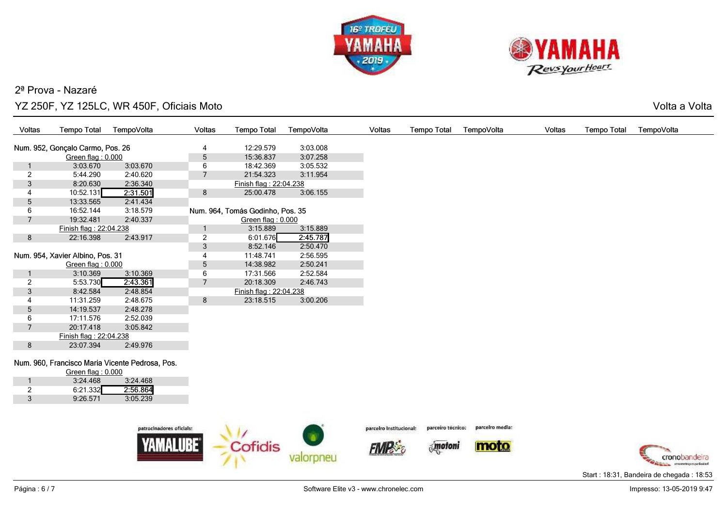



o ang pangangang sa kabupatèn sa kabupatèn Sulawesa Kabupatèn Sulawesa Kabupatèn Sulawesa Kabupatèn Sulawesa K<br>Kabupatèn Sulawesa Kabupatèn Sulawesa Kabupatèn Sulawesa Kabupatèn Sulawesa Kabupatèn Sulawesa Kabupatèn Sulaw

| Voltas         | <b>Tempo Total</b>                              | TempoVolta | <b>Voltas</b>  | <b>Tempo Total</b>               | TempoVolta | Voltas | <b>Tempo Total</b> | TempoVolta | <b>Voltas</b> | <b>Tempo Total</b> | TempoVolta |
|----------------|-------------------------------------------------|------------|----------------|----------------------------------|------------|--------|--------------------|------------|---------------|--------------------|------------|
|                |                                                 |            |                |                                  |            |        |                    |            |               |                    |            |
|                | Num. 952, Gonçalo Carmo, Pos. 26                |            | 4              | 12:29.579                        | 3:03.008   |        |                    |            |               |                    |            |
|                | Green flag: 0.000                               |            | $\sqrt{5}$     | 15:36.837                        | 3:07.258   |        |                    |            |               |                    |            |
|                | 3:03.670                                        | 3:03.670   | 6              | 18:42.369                        | 3:05.532   |        |                    |            |               |                    |            |
| $\overline{2}$ | 5:44.290                                        | 2:40.620   | $\overline{7}$ | 21:54.323                        | 3:11.954   |        |                    |            |               |                    |            |
| 3              | 8:20.630                                        | 2:36.340   |                | Finish flag: 22:04.238           |            |        |                    |            |               |                    |            |
|                | 10:52.131                                       | 2:31.501   | 8              | 25:00.478                        | 3:06.155   |        |                    |            |               |                    |            |
| 5              | 13:33.565                                       | 2:41.434   |                |                                  |            |        |                    |            |               |                    |            |
| 6              | 16:52.144                                       | 3:18.579   |                | Num. 964, Tomás Godinho, Pos. 35 |            |        |                    |            |               |                    |            |
| $\overline{7}$ | 19:32.481                                       | 2:40.337   |                | Green flag: 0.000                |            |        |                    |            |               |                    |            |
|                | Finish flag: 22:04.238                          |            |                | 3:15.889                         | 3:15.889   |        |                    |            |               |                    |            |
| 8              | 22:16.398                                       | 2:43.917   | $\overline{c}$ | 6:01.676                         | 2:45.787   |        |                    |            |               |                    |            |
|                |                                                 |            | 3              | 8:52.146                         | 2:50.470   |        |                    |            |               |                    |            |
|                | Num. 954, Xavier Albino, Pos. 31                |            | 4              | 11:48.741                        | 2:56.595   |        |                    |            |               |                    |            |
|                | Green flag: $0.000$                             |            | 5              | 14:38.982                        | 2:50.241   |        |                    |            |               |                    |            |
|                | 3:10.369                                        | 3:10.369   | 6              | 17:31.566                        | 2:52.584   |        |                    |            |               |                    |            |
| 2              | 5:53.730                                        | 2:43.361   | $\overline{7}$ | 20:18.309                        | 2:46.743   |        |                    |            |               |                    |            |
| 3              | 8:42.584                                        | 2:48.854   |                | Finish flag: 22:04.238           |            |        |                    |            |               |                    |            |
|                | 11:31.259                                       | 2:48.675   | 8              | 23:18.515                        | 3:00.206   |        |                    |            |               |                    |            |
| 5              | 14:19.537                                       | 2:48.278   |                |                                  |            |        |                    |            |               |                    |            |
| 6              | 17:11.576                                       | 2:52.039   |                |                                  |            |        |                    |            |               |                    |            |
| $\overline{7}$ | 20:17.418                                       | 3:05.842   |                |                                  |            |        |                    |            |               |                    |            |
|                | Finish flag: 22:04.238                          |            |                |                                  |            |        |                    |            |               |                    |            |
| 8              | 23:07.394                                       | 2:49.976   |                |                                  |            |        |                    |            |               |                    |            |
|                |                                                 |            |                |                                  |            |        |                    |            |               |                    |            |
|                | Num. 960, Francisco Maria Vicente Pedrosa, Pos. |            |                |                                  |            |        |                    |            |               |                    |            |
|                | Green flag: $0.000$                             |            |                |                                  |            |        |                    |            |               |                    |            |
|                | 3:24.468                                        | 3:24.468   |                |                                  |            |        |                    |            |               |                    |            |
| $\overline{2}$ | 6:21.332                                        | 2:56.864   |                |                                  |            |        |                    |            |               |                    |            |







parceiro técnico:



parcelro media:



Start : 18:31, Bandeira de chegada : 18:53

9:26.571 3:05.239